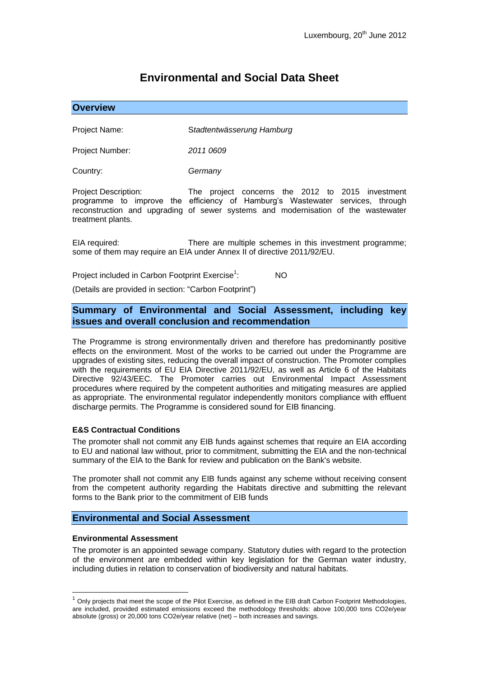# **Environmental and Social Data Sheet**

## **Overview**

Project Name: S*tadtentwässerung Hamburg*

Project Number: *2011 0609*

Country: *Germany*

Project Description: The project concerns the 2012 to 2015 investment programme to improve the efficiency of Hamburg's Wastewater services, through reconstruction and upgrading of sewer systems and modernisation of the wastewater treatment plants.

EIA required: There are multiple schemes in this investment programme; some of them may require an EIA under Annex II of directive 2011/92/EU.

Project included in Carbon Footprint Exercise<sup>1</sup>: : NO

(Details are provided in section: "Carbon Footprint")

# **Summary of Environmental and Social Assessment, including key issues and overall conclusion and recommendation**

The Programme is strong environmentally driven and therefore has predominantly positive effects on the environment. Most of the works to be carried out under the Programme are upgrades of existing sites, reducing the overall impact of construction. The Promoter complies with the requirements of EU EIA Directive 2011/92/EU, as well as Article 6 of the Habitats Directive 92/43/EEC. The Promoter carries out Environmental Impact Assessment procedures where required by the competent authorities and mitigating measures are applied as appropriate. The environmental regulator independently monitors compliance with effluent discharge permits. The Programme is considered sound for EIB financing.

### **E&S Contractual Conditions**

The promoter shall not commit any EIB funds against schemes that require an EIA according to EU and national law without, prior to commitment, submitting the EIA and the non-technical summary of the EIA to the Bank for review and publication on the Bank's website.

The promoter shall not commit any EIB funds against any scheme without receiving consent from the competent authority regarding the Habitats directive and submitting the relevant forms to the Bank prior to the commitment of EIB funds

## **Environmental and Social Assessment**

#### **Environmental Assessment**

1

The promoter is an appointed sewage company. Statutory duties with regard to the protection of the environment are embedded within key legislation for the German water industry, including duties in relation to conservation of biodiversity and natural habitats.

 $1$  Only projects that meet the scope of the Pilot Exercise, as defined in the EIB draft Carbon Footprint Methodologies, are included, provided estimated emissions exceed the methodology thresholds: above 100,000 tons CO2e/year absolute (gross) or 20,000 tons CO2e/year relative (net) – both increases and savings.